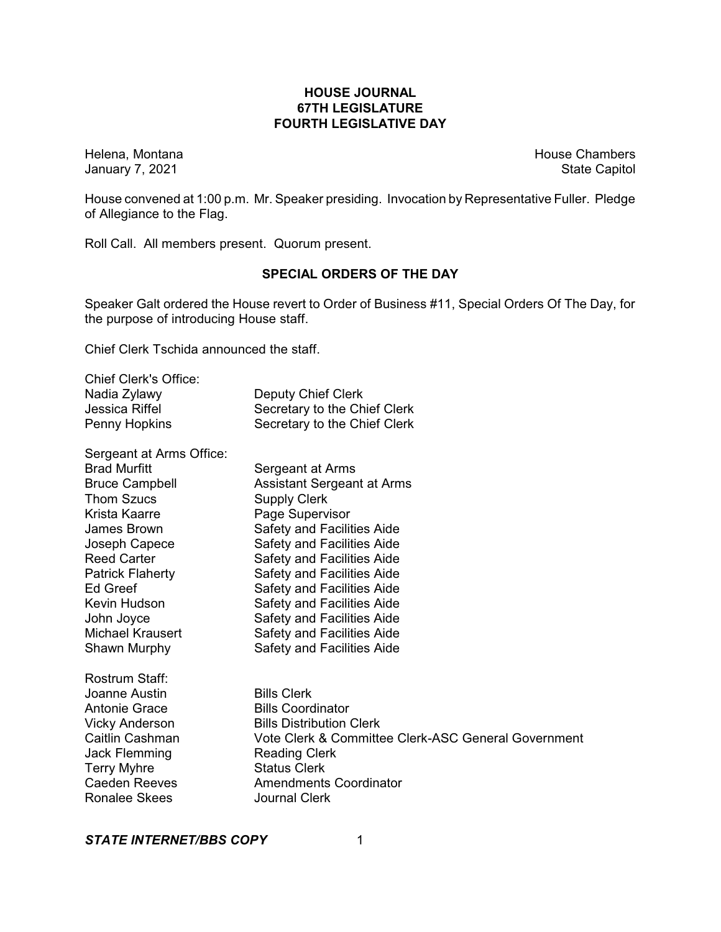# **HOUSE JOURNAL 67TH LEGISLATURE FOURTH LEGISLATIVE DAY**

January 7, 2021

Helena, Montana **House Chambers**<br>
January 7, 2021 **Marshall Research Chambers**<br>
House Chambers<br>
State Capitol

House convened at 1:00 p.m. Mr. Speaker presiding. Invocation by Representative Fuller. Pledge of Allegiance to the Flag.

Roll Call. All members present. Quorum present.

# **SPECIAL ORDERS OF THE DAY**

Speaker Galt ordered the House revert to Order of Business #11, Special Orders Of The Day, for the purpose of introducing House staff.

Chief Clerk Tschida announced the staff.

| <b>Chief Clerk's Office:</b> |                                                     |
|------------------------------|-----------------------------------------------------|
| Nadia Zylawy                 | <b>Deputy Chief Clerk</b>                           |
| Jessica Riffel               | Secretary to the Chief Clerk                        |
| Penny Hopkins                | Secretary to the Chief Clerk                        |
| Sergeant at Arms Office:     |                                                     |
| <b>Brad Murfitt</b>          | Sergeant at Arms                                    |
| <b>Bruce Campbell</b>        | <b>Assistant Sergeant at Arms</b>                   |
| <b>Thom Szucs</b>            | <b>Supply Clerk</b>                                 |
| Krista Kaarre                | Page Supervisor                                     |
| James Brown                  | Safety and Facilities Aide                          |
| Joseph Capece                | Safety and Facilities Aide                          |
| <b>Reed Carter</b>           | <b>Safety and Facilities Aide</b>                   |
| <b>Patrick Flaherty</b>      | Safety and Facilities Aide                          |
| Ed Greef                     | <b>Safety and Facilities Aide</b>                   |
| Kevin Hudson                 | Safety and Facilities Aide                          |
| John Joyce                   | Safety and Facilities Aide                          |
| <b>Michael Krausert</b>      | Safety and Facilities Aide                          |
| Shawn Murphy                 | Safety and Facilities Aide                          |
| Rostrum Staff:               |                                                     |
| Joanne Austin                | <b>Bills Clerk</b>                                  |
| <b>Antonie Grace</b>         | <b>Bills Coordinator</b>                            |
| <b>Vicky Anderson</b>        | <b>Bills Distribution Clerk</b>                     |
| Caitlin Cashman              | Vote Clerk & Committee Clerk-ASC General Government |
| Jack Flemming                | <b>Reading Clerk</b>                                |
| <b>Terry Myhre</b>           | <b>Status Clerk</b>                                 |
| <b>Caeden Reeves</b>         | <b>Amendments Coordinator</b>                       |
| <b>Ronalee Skees</b>         | <b>Journal Clerk</b>                                |
|                              |                                                     |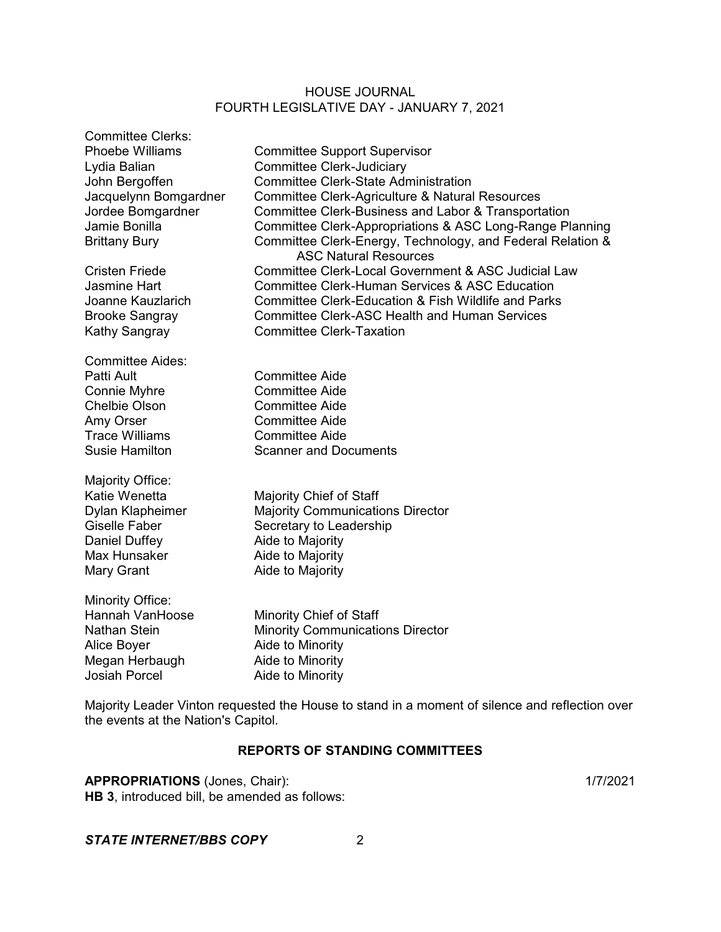| <b>Committee Clerks:</b> |                                                                                            |
|--------------------------|--------------------------------------------------------------------------------------------|
| <b>Phoebe Williams</b>   | <b>Committee Support Supervisor</b>                                                        |
| Lydia Balian             | <b>Committee Clerk-Judiciary</b>                                                           |
| John Bergoffen           | <b>Committee Clerk-State Administration</b>                                                |
| Jacquelynn Bomgardner    | Committee Clerk-Agriculture & Natural Resources                                            |
| Jordee Bomgardner        | Committee Clerk-Business and Labor & Transportation                                        |
| Jamie Bonilla            | Committee Clerk-Appropriations & ASC Long-Range Planning                                   |
| <b>Brittany Bury</b>     | Committee Clerk-Energy, Technology, and Federal Relation &<br><b>ASC Natural Resources</b> |
| <b>Cristen Friede</b>    | Committee Clerk-Local Government & ASC Judicial Law                                        |
| <b>Jasmine Hart</b>      | <b>Committee Clerk-Human Services &amp; ASC Education</b>                                  |
| Joanne Kauzlarich        | Committee Clerk-Education & Fish Wildlife and Parks                                        |
| <b>Brooke Sangray</b>    | <b>Committee Clerk-ASC Health and Human Services</b>                                       |
| Kathy Sangray            | <b>Committee Clerk-Taxation</b>                                                            |
| <b>Committee Aides:</b>  |                                                                                            |
| Patti Ault               | <b>Committee Aide</b>                                                                      |
| Connie Myhre             | <b>Committee Aide</b>                                                                      |
| <b>Chelbie Olson</b>     | <b>Committee Aide</b>                                                                      |
| Amy Orser                | <b>Committee Aide</b>                                                                      |
| <b>Trace Williams</b>    | <b>Committee Aide</b>                                                                      |
| <b>Susie Hamilton</b>    | <b>Scanner and Documents</b>                                                               |
|                          |                                                                                            |
| Majority Office:         |                                                                                            |
| Katie Wenetta            | <b>Majority Chief of Staff</b>                                                             |
| Dylan Klapheimer         | <b>Majority Communications Director</b>                                                    |
| Giselle Faber            | Secretary to Leadership                                                                    |
| Daniel Duffey            | Aide to Majority                                                                           |
| Max Hunsaker             | Aide to Majority                                                                           |
| Mary Grant               | Aide to Majority                                                                           |
| Minority Office:         |                                                                                            |
| Hannah VanHoose          | Minority Chief of Staff                                                                    |
| Nathan Stein             | <b>Minority Communications Director</b>                                                    |
| Alice Boyer              | Aide to Minority                                                                           |
| Megan Herbaugh           | Aide to Minority                                                                           |
| <b>Josiah Porcel</b>     | Aide to Minority                                                                           |
|                          |                                                                                            |

Majority Leader Vinton requested the House to stand in a moment of silence and reflection over the events at the Nation's Capitol.

# **REPORTS OF STANDING COMMITTEES**

# **APPROPRIATIONS** (Jones, Chair): 1/7/2021

**HB 3**, introduced bill, be amended as follows:

# *STATE INTERNET/BBS COPY* 2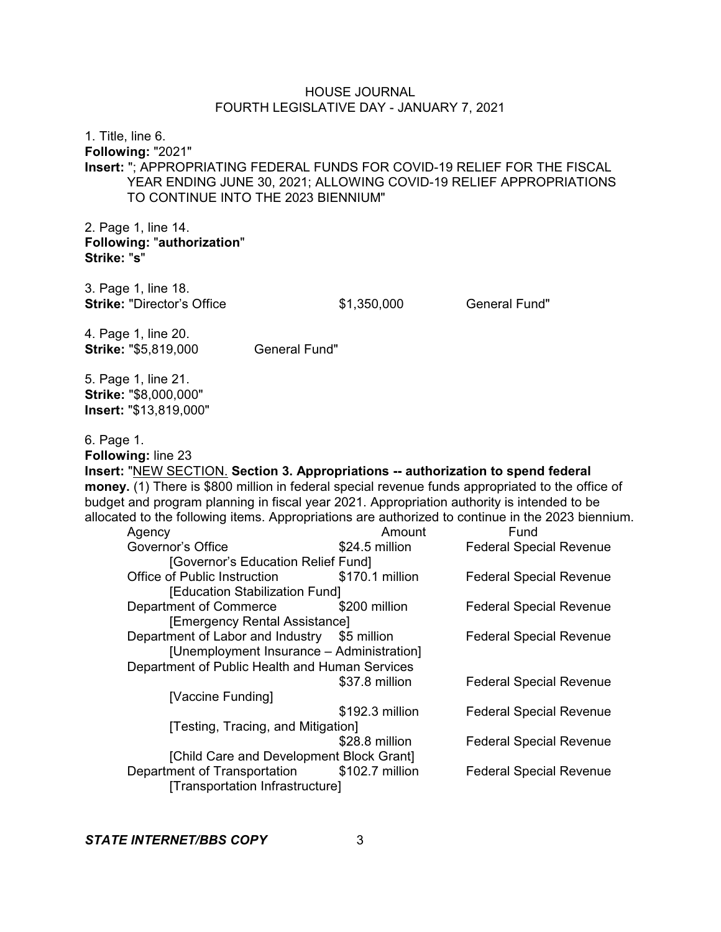1. Title, line 6. **Following:** "2021" **Insert:** "; APPROPRIATING FEDERAL FUNDS FOR COVID-19 RELIEF FOR THE FISCAL YEAR ENDING JUNE 30, 2021; ALLOWING COVID-19 RELIEF APPROPRIATIONS TO CONTINUE INTO THE 2023 BIENNIUM"

2. Page 1, line 14. **Following:** "**authorization**" **Strike:** "**s**"

3. Page 1, line 18. **Strike:** "Director's Office  $$1,350,000$  General Fund"

4. Page 1, line 20. **Strike: "\$5,819,000 General Fund"** 

5. Page 1, line 21. **Strike:** "\$8,000,000" **Insert:** "\$13,819,000"

6. Page 1.

**Following:** line 23 **Insert:** "NEW SECTION. **Section 3. Appropriations -- authorization to spend federal money.** (1) There is \$800 million in federal special revenue funds appropriated to the office of budget and program planning in fiscal year 2021. Appropriation authority is intended to be allocated to the following items. Appropriations are authorized to continue in the 2023 biennium. Agency **Amount** Fund Governor's Office **\$24.5 million** Federal Special Revenue [Governor's Education Relief Fund] Office of Public Instruction  $$170.1$  million Federal Special Revenue [Education Stabilization Fund] Department of Commerce  $$200$  million Federal Special Revenue [Emergency Rental Assistance] Department of Labor and Industry \$5 million Federal Special Revenue [Unemployment Insurance – Administration] Department of Public Health and Human Services \$37.8 million Federal Special Revenue [Vaccine Funding] \$192.3 million Federal Special Revenue [Testing, Tracing, and Mitigation] \$28.8 million Federal Special Revenue [Child Care and Development Block Grant]<br>ment of Transportation \$102.7 million Department of Transportation \$102.7 million Federal Special Revenue

[Transportation Infrastructure]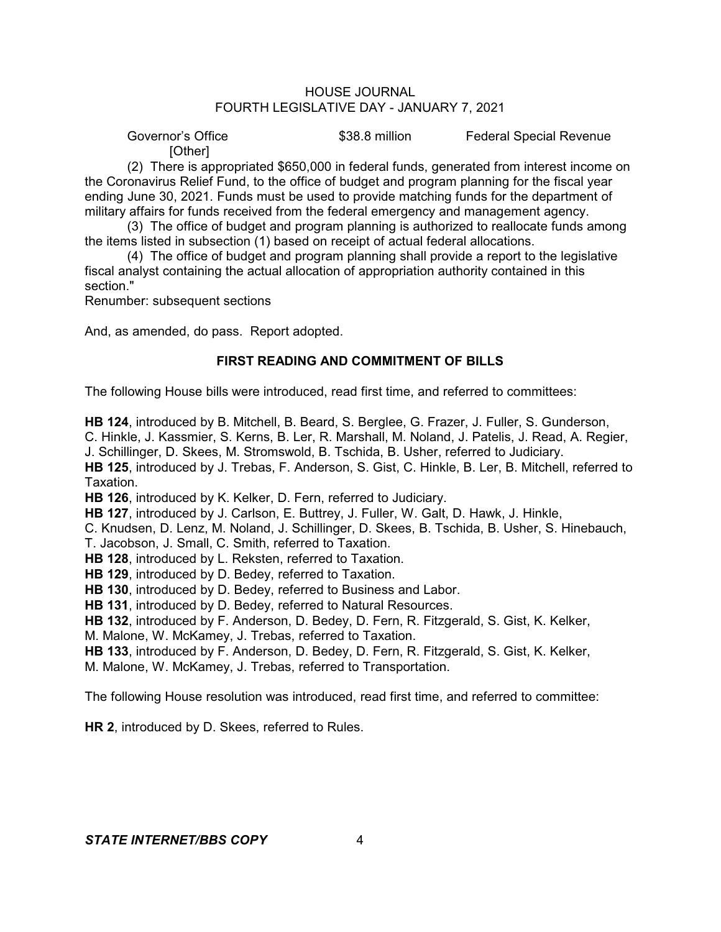Governor's Office **\$38.8 million** Federal Special Revenue

[Other]

(2) There is appropriated \$650,000 in federal funds, generated from interest income on the Coronavirus Relief Fund, to the office of budget and program planning for the fiscal year ending June 30, 2021. Funds must be used to provide matching funds for the department of military affairs for funds received from the federal emergency and management agency.

(3) The office of budget and program planning is authorized to reallocate funds among the items listed in subsection (1) based on receipt of actual federal allocations.

(4) The office of budget and program planning shall provide a report to the legislative fiscal analyst containing the actual allocation of appropriation authority contained in this section."

Renumber: subsequent sections

And, as amended, do pass. Report adopted.

# **FIRST READING AND COMMITMENT OF BILLS**

The following House bills were introduced, read first time, and referred to committees:

**HB 124**, introduced by B. Mitchell, B. Beard, S. Berglee, G. Frazer, J. Fuller, S. Gunderson,

C. Hinkle, J. Kassmier, S. Kerns, B. Ler, R. Marshall, M. Noland, J. Patelis, J. Read, A. Regier,

J. Schillinger, D. Skees, M. Stromswold, B. Tschida, B. Usher, referred to Judiciary.

**HB 125**, introduced by J. Trebas, F. Anderson, S. Gist, C. Hinkle, B. Ler, B. Mitchell, referred to Taxation.

**HB 126**, introduced by K. Kelker, D. Fern, referred to Judiciary.

**HB 127**, introduced by J. Carlson, E. Buttrey, J. Fuller, W. Galt, D. Hawk, J. Hinkle,

C. Knudsen, D. Lenz, M. Noland, J. Schillinger, D. Skees, B. Tschida, B. Usher, S. Hinebauch,

T. Jacobson, J. Small, C. Smith, referred to Taxation.

**HB 128**, introduced by L. Reksten, referred to Taxation.

**HB 129**, introduced by D. Bedey, referred to Taxation.

**HB 130**, introduced by D. Bedey, referred to Business and Labor.

**HB 131**, introduced by D. Bedey, referred to Natural Resources.

**HB 132**, introduced by F. Anderson, D. Bedey, D. Fern, R. Fitzgerald, S. Gist, K. Kelker,

M. Malone, W. McKamey, J. Trebas, referred to Taxation.

**HB 133**, introduced by F. Anderson, D. Bedey, D. Fern, R. Fitzgerald, S. Gist, K. Kelker, M. Malone, W. McKamey, J. Trebas, referred to Transportation.

The following House resolution was introduced, read first time, and referred to committee:

**HR 2**, introduced by D. Skees, referred to Rules.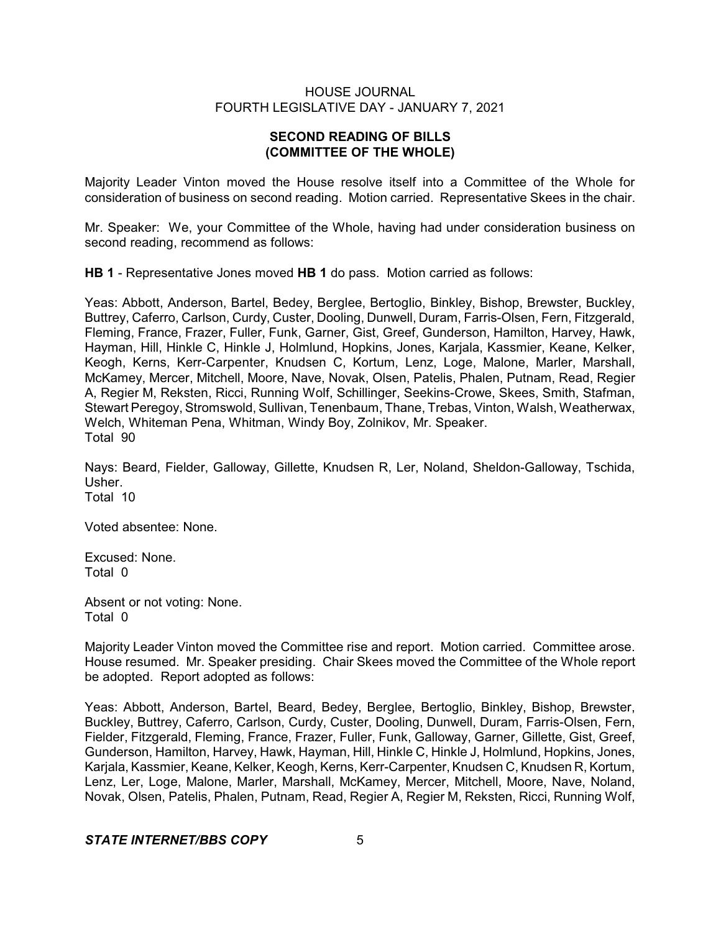# **SECOND READING OF BILLS (COMMITTEE OF THE WHOLE)**

Majority Leader Vinton moved the House resolve itself into a Committee of the Whole for consideration of business on second reading. Motion carried. Representative Skees in the chair.

Mr. Speaker: We, your Committee of the Whole, having had under consideration business on second reading, recommend as follows:

**HB 1** - Representative Jones moved **HB 1** do pass. Motion carried as follows:

Yeas: Abbott, Anderson, Bartel, Bedey, Berglee, Bertoglio, Binkley, Bishop, Brewster, Buckley, Buttrey, Caferro, Carlson, Curdy, Custer, Dooling, Dunwell, Duram, Farris-Olsen, Fern, Fitzgerald, Fleming, France, Frazer, Fuller, Funk, Garner, Gist, Greef, Gunderson, Hamilton, Harvey, Hawk, Hayman, Hill, Hinkle C, Hinkle J, Holmlund, Hopkins, Jones, Karjala, Kassmier, Keane, Kelker, Keogh, Kerns, Kerr-Carpenter, Knudsen C, Kortum, Lenz, Loge, Malone, Marler, Marshall, McKamey, Mercer, Mitchell, Moore, Nave, Novak, Olsen, Patelis, Phalen, Putnam, Read, Regier A, Regier M, Reksten, Ricci, Running Wolf, Schillinger, Seekins-Crowe, Skees, Smith, Stafman, Stewart Peregoy, Stromswold, Sullivan, Tenenbaum, Thane, Trebas, Vinton, Walsh, Weatherwax, Welch, Whiteman Pena, Whitman, Windy Boy, Zolnikov, Mr. Speaker. Total 90

Nays: Beard, Fielder, Galloway, Gillette, Knudsen R, Ler, Noland, Sheldon-Galloway, Tschida, Usher. Total 10

Voted absentee: None.

Excused: None. Total 0

Absent or not voting: None. Total 0

Majority Leader Vinton moved the Committee rise and report. Motion carried. Committee arose. House resumed. Mr. Speaker presiding. Chair Skees moved the Committee of the Whole report be adopted. Report adopted as follows:

Yeas: Abbott, Anderson, Bartel, Beard, Bedey, Berglee, Bertoglio, Binkley, Bishop, Brewster, Buckley, Buttrey, Caferro, Carlson, Curdy, Custer, Dooling, Dunwell, Duram, Farris-Olsen, Fern, Fielder, Fitzgerald, Fleming, France, Frazer, Fuller, Funk, Galloway, Garner, Gillette, Gist, Greef, Gunderson, Hamilton, Harvey, Hawk, Hayman, Hill, Hinkle C, Hinkle J, Holmlund, Hopkins, Jones, Karjala, Kassmier, Keane, Kelker, Keogh, Kerns, Kerr-Carpenter, Knudsen C, Knudsen R, Kortum, Lenz, Ler, Loge, Malone, Marler, Marshall, McKamey, Mercer, Mitchell, Moore, Nave, Noland, Novak, Olsen, Patelis, Phalen, Putnam, Read, Regier A, Regier M, Reksten, Ricci, Running Wolf,

## *STATE INTERNET/BBS COPY* 5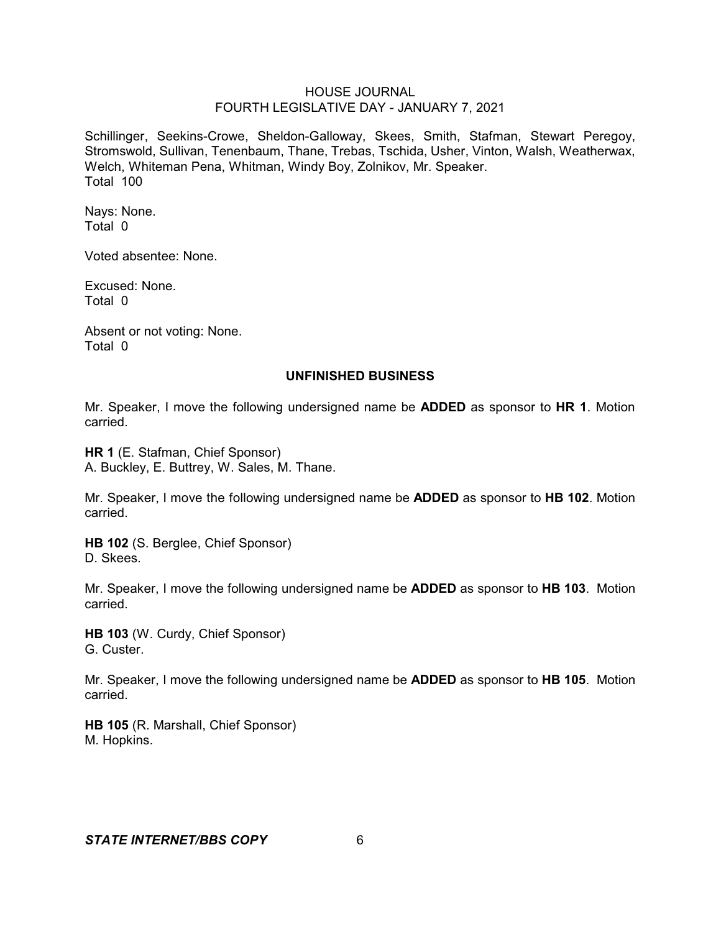Schillinger, Seekins-Crowe, Sheldon-Galloway, Skees, Smith, Stafman, Stewart Peregoy, Stromswold, Sullivan, Tenenbaum, Thane, Trebas, Tschida, Usher, Vinton, Walsh, Weatherwax, Welch, Whiteman Pena, Whitman, Windy Boy, Zolnikov, Mr. Speaker. Total 100

Nays: None. Total 0

Voted absentee: None.

Excused: None. Total 0

Absent or not voting: None. Total 0

#### **UNFINISHED BUSINESS**

Mr. Speaker, I move the following undersigned name be **ADDED** as sponsor to **HR 1**. Motion carried.

**HR 1** (E. Stafman, Chief Sponsor) A. Buckley, E. Buttrey, W. Sales, M. Thane.

Mr. Speaker, I move the following undersigned name be **ADDED** as sponsor to **HB 102**. Motion carried.

**HB 102** (S. Berglee, Chief Sponsor) D. Skees.

Mr. Speaker, I move the following undersigned name be **ADDED** as sponsor to **HB 103**. Motion carried.

**HB 103** (W. Curdy, Chief Sponsor) G. Custer.

Mr. Speaker, I move the following undersigned name be **ADDED** as sponsor to **HB 105**. Motion carried.

**HB 105** (R. Marshall, Chief Sponsor) M. Hopkins.